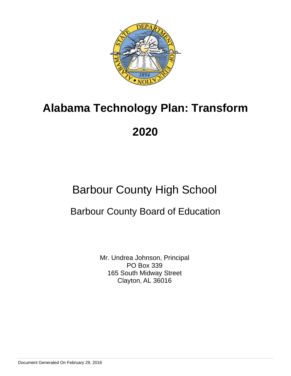

# Barbour County High School

## Barbour County Board of Education

Mr. Undrea Johnson, Principal PO Box 339 165 South Midway Street Clayton, AL 36016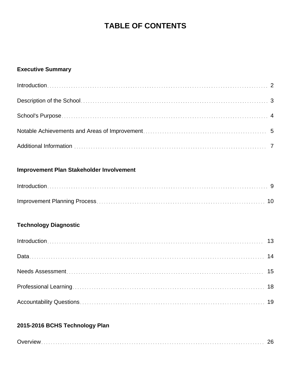## **TABLE OF CONTENTS**

## **Executive Summary**

## **Improvement Plan Stakeholder Involvement**

## **Technology Diagnostic**

## **2015-2016 BCHS Technology Plan**

| <b>IGW</b><br>-- |
|------------------|
|------------------|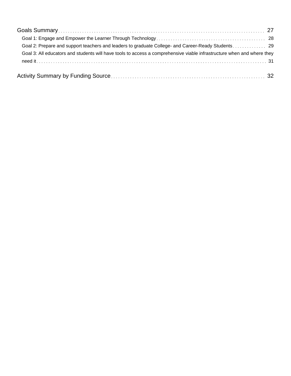| Goal 3: All educators and students will have tools to access a comprehensive viable infrastructure when and where they |  |
|------------------------------------------------------------------------------------------------------------------------|--|
|                                                                                                                        |  |
|                                                                                                                        |  |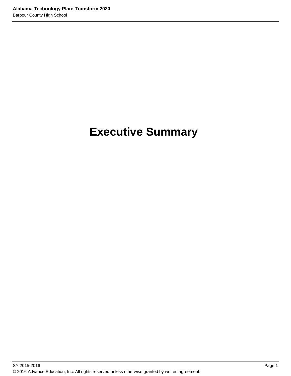# **Executive Summary**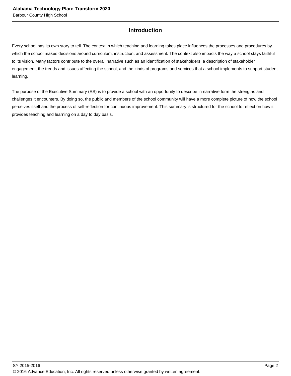## **Introduction**

Every school has its own story to tell. The context in which teaching and learning takes place influences the processes and procedures by which the school makes decisions around curriculum, instruction, and assessment. The context also impacts the way a school stays faithful to its vision. Many factors contribute to the overall narrative such as an identification of stakeholders, a description of stakeholder engagement, the trends and issues affecting the school, and the kinds of programs and services that a school implements to support student learning.

The purpose of the Executive Summary (ES) is to provide a school with an opportunity to describe in narrative form the strengths and challenges it encounters. By doing so, the public and members of the school community will have a more complete picture of how the school perceives itself and the process of self-reflection for continuous improvement. This summary is structured for the school to reflect on how it provides teaching and learning on a day to day basis.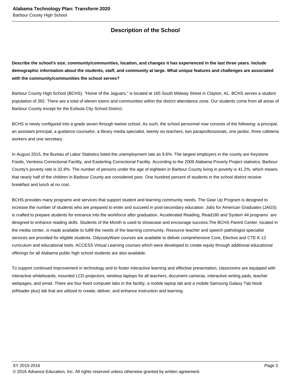## **Description of the School**

**Describe the school's size, community/communities, location, and changes it has experienced in the last three years. Include demographic information about the students, staff, and community at large. What unique features and challenges are associated with the community/communities the school serves?**

Barbour County High School (BCHS), "Home of the Jaguars," is located at 165 South Midway Street in Clayton, AL. BCHS serves a student population of 392. There are a total of eleven towns and communities within the district attendance zone. Our students come from all areas of Barbour County except for the Eufaula City School District.

BCHS is newly configured into a grade seven through twelve school. As such, the school personnel now consists of the following: a principal, an assistant principal, a guidance counselor, a library media specialist, twenty six teachers, two paraprofessionals, one janitor, three cafeteria workers and one secretary.

In August 2015, the Bureau of Labor Statistics listed the unemployment rate as 9.6%. The largest employers in the county are Keystone Foods, Ventress Correctional Facility, and Easterling Correctional Facility. According to the 2009 Alabama Poverty Project statistics, Barbour County's poverty rate is 32.8%. The number of persons under the age of eighteen in Barbour County living in poverty is 41.2%, which means that nearly half of the children in Barbour County are considered poor. One hundred percent of students in the school district receive breakfast and lunch at no cost.

BCHS provides many programs and services that support student and learning community needs. The Gear Up Program is designed to increase the number of students who are prepared to enter and succeed in post-secondary education. Jobs for American Graduates (JAGS) is crafted to prepare students for entrance into the workforce after graduation. Accelerated Reading, Read180 and System 44 programs are designed to enhance reading skills. Students of the Month is used to showcase and encourage success.The BCHS Parent Center, located in the media center, is made available to fulfill the needs of the learning community. Resource teacher and speech pathologist specialist services are provided for eligible students. OdysseyWare courses are available to deliver comprehensive Core, Elective and CTE K-12 curriculum and educational tools. ACCESS Virtual Learning courses which were developed to create equity through additional educational offerings for all Alabama public high school students are also available.

To support continued improvement in technology and to foster interactive learning and effective presentation, classrooms are equipped with interactive whiteboards, mounted LCD projectors, wireless laptops for all teachers, document cameras, interactive writing pads, teacher webpages, and email. There are four fixed computer labs in the facility, a mobile laptop lab and a mobile Samsung Galaxy Tab Nook (eReader plus) lab that are utilized to create, deliver, and enhance instruction and learning.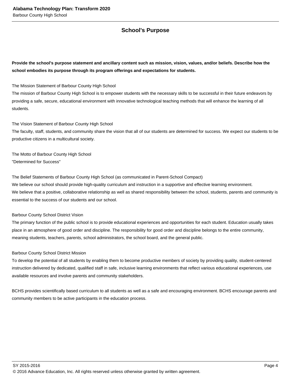## **School's Purpose**

**Provide the school's purpose statement and ancillary content such as mission, vision, values, and/or beliefs. Describe how the school embodies its purpose through its program offerings and expectations for students.**

The Mission Statement of Barbour County High School

The mission of Barbour County High School is to empower students with the necessary skills to be successful in their future endeavors by providing a safe, secure, educational environment with innovative technological teaching methods that will enhance the learning of all students.

The Vision Statement of Barbour County High School

The faculty, staff, students, and community share the vision that all of our students are determined for success. We expect our students to be productive citizens in a multicultural society.

The Motto of Barbour County High School "Determined for Success"

The Belief Statements of Barbour County High School (as communicated in Parent-School Compact)

We believe our school should provide high-quality curriculum and instruction in a supportive and effective learning environment. We believe that a positive, collaborative relationship as well as shared responsibility between the school, students, parents and community is essential to the success of our students and our school.

Barbour County School District Vision

The primary function of the public school is to provide educational experiences and opportunities for each student. Education usually takes place in an atmosphere of good order and discipline. The responsibility for good order and discipline belongs to the entire community, meaning students, teachers, parents, school administrators, the school board, and the general public.

#### Barbour County School District Mission

To develop the potential of all students by enabling them to become productive members of society by providing quality, student-centered instruction delivered by dedicated, qualified staff in safe, inclusive learning environments that reflect various educational experiences, use available resources and involve parents and community stakeholders.

BCHS provides scientifically based curriculum to all students as well as a safe and encouraging environment. BCHS encourage parents and community members to be active participants in the education process.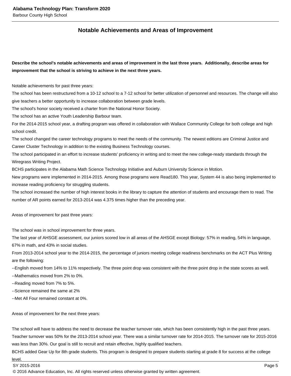## **Notable Achievements and Areas of Improvement**

**Describe the school's notable achievements and areas of improvement in the last three years. Additionally, describe areas for improvement that the school is striving to achieve in the next three years.**

Notable achievements for past three years:

The school has been restructured from a 10-12 school to a 7-12 school for better utilization of personnel and resources. The change will also give teachers a better opportunity to increase collaboration between grade levels.

The school's honor society received a charter from the National Honor Society.

The school has an active Youth Leadership Barbour team.

For the 2014-2015 school year, a drafting program was offered in collaboration with Wallace Community College for both college and high school credit.

The school changed the career technology programs to meet the needs of the community. The newest editions are Criminal Justice and Career Cluster Technology in addition to the existing Business Technology courses.

The school participated in an effort to increase students' proficiency in writing and to meet the new college-ready standards through the Wiregrass Writing Project.

BCHS participates in the Alabama Math Science Technology Initiative and Auburn University Science in Motion.

New programs were implemented in 2014-2015. Among those programs were Read180. This year, System 44 is also being implemented to increase reading proficiency for struggling students.

The school increased the number of high interest books in the library to capture the attention of students and encourage them to read. The number of AR points earned for 2013-2014 was 4.375 times higher than the preceding year.

Areas of improvement for past three years:

The school was in school improvement for three years.

The last year of AHSGE assessment, our juniors scored low in all areas of the AHSGE except Biology: 57% in reading, 54% in language, 67% in math, and 43% in social studies.

From 2013-2014 school year to the 2014-2015, the percentage of juniors meeting college readiness benchmarks on the ACT Plus Writing are the following:

--English moved from 14% to 11% respectively. The three point drop was consistent with the three point drop in the state scores as well.

--Mathematics moved from 2% to 0%.

--Reading moved from 7% to 5%.

--Science remained the same at 2%

--Met All Four remained constant at 0%.

Areas of improvement for the next three years:

The school will have to address the need to decrease the teacher turnover rate, which has been consistently high in the past three years. Teacher turnover was 50% for the 2013-2014 school year. There was a similar turnover rate for 2014-2015. The turnover rate for 2015-2016 was less than 30%. Our goal is still to recruit and retain effective, highly qualified teachers.

BCHS added Gear Up for 8th grade students. This program is designed to prepare students starting at grade 8 for success at the college

#### level.

© 2016 Advance Education, Inc. All rights reserved unless otherwise granted by written agreement.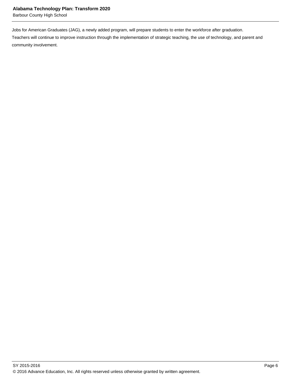Barbour County High School

Jobs for American Graduates (JAG), a newly added program, will prepare students to enter the workforce after graduation.

Teachers will continue to improve instruction through the implementation of strategic teaching, the use of technology, and parent and community involvement.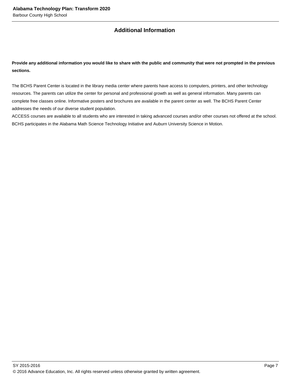## **Additional Information**

**Provide any additional information you would like to share with the public and community that were not prompted in the previous sections.**

The BCHS Parent Center is located in the library media center where parents have access to computers, printers, and other technology resources. The parents can utilize the center for personal and professional growth as well as general information. Many parents can complete free classes online. Informative posters and brochures are available in the parent center as well. The BCHS Parent Center addresses the needs of our diverse student population.

ACCESS courses are available to all students who are interested in taking advanced courses and/or other courses not offered at the school. BCHS participates in the Alabama Math Science Technology Initiative and Auburn University Science in Motion.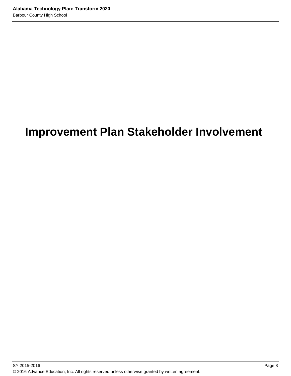# **Improvement Plan Stakeholder Involvement**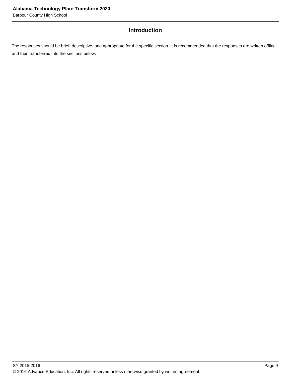## **Introduction**

The responses should be brief, descriptive, and appropriate for the specific section. It is recommended that the responses are written offline and then transferred into the sections below.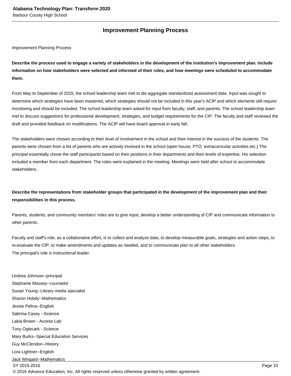## **Improvement Planning Process**

Improvement Planning Process

**Describe the process used to engage a variety of stakeholders in the development of the institution's improvement plan. Include information on how stakeholders were selected and informed of their roles, and how meetings were scheduled to accommodate them.** 

From May to September of 2015, the school leadership team met to dis-aggregate standardized assessment data. Input was sought to determine which strategies have been mastered, which strategies should not be included in this year's ACIP and which elements still require monitoring and should be included. The school leadership team asked for input from faculty, staff, and parents. The school leadership team met to discuss suggestions for professional development, strategies, and budget requirements for the CIP. The faculty and staff reviewed the draft and provided feedback on modifications. The ACIP will have board approval in early fall.

The stakeholders were chosen according to their level of involvement in the school and their interest in the success of the students. The parents were chosen from a list of parents who are actively involved in the school (open house, PTO, extracurricular activities etc.) The principal essentially chose the staff participants based on their positions in their departments and their levels of expertise. His selection included a member from each department. The roles were explained in the meeting. Meetings were held after school to accommodate stakeholders.

## **Describe the representations from stakeholder groups that participated in the development of the improvement plan and their responsibilities in this process.**

Parents, students, and community members' roles are to give input, develop a better understanding of CIP and communicate information to other parents.

Faculty and staff's role, as a collaborative effort, is to collect and analyze data, to develop measurable goals, strategies and action steps, to re-evaluate the CIP, to make amendments and updates as needed, and to communicate plan to all other stakeholders. The principal's role is instructional leader.

Undrea Johnson--principal Stephanie Massey--counselor Susan Young--Library media specialist Sharon Hobdy--Mathematics Jessie Pelina--English Sabrina Casey --Science Lakia Brown - Access Lab Tony Oglecark - Science Mary Burks--Special Education Services Guy McClendon--History Lora Lightner--English Jack Wingard--Mathematics SY 2015-2016 Page 10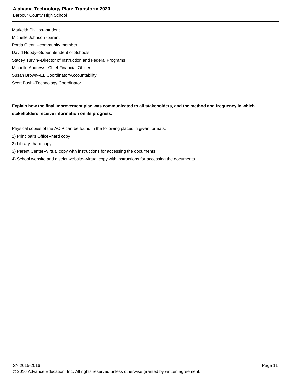Barbour County High School

Markeith Phillips--student Michelle Johnson -parent Portia Glenn --community member David Hobdy--Superintendent of Schools Stacey Turvin--Director of Instruction and Federal Programs Michelle Andrews--Chief Financial Officer Susan Brown--EL Coordinator/Accountability Scott Bush--Technology Coordinator

**Explain how the final improvement plan was communicated to all stakeholders, and the method and frequency in which stakeholders receive information on its progress.** 

Physical copies of the ACIP can be found in the following places in given formats:

- 1) Principal's Office--hard copy
- 2) Library--hard copy
- 3) Parent Center--virtual copy with instructions for accessing the documents
- 4) School website and district website--virtual copy with instructions for accessing the documents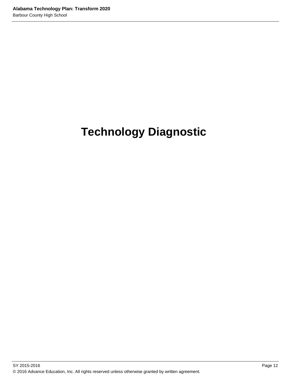# **Technology Diagnostic**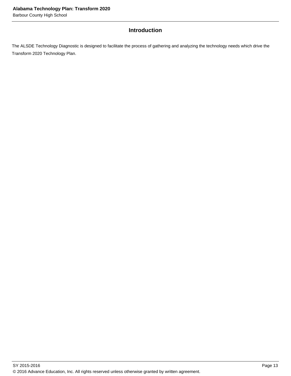## **Introduction**

The ALSDE Technology Diagnostic is designed to facilitate the process of gathering and analyzing the technology needs which drive the Transform 2020 Technology Plan.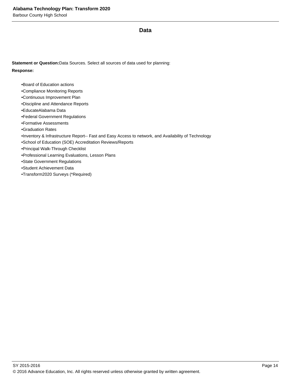#### **Data**

**Statement or Question:**Data Sources. Select all sources of data used for planning: **Response:**

• Board of Education actions

• Compliance Monitoring Reports

• Continuous Improvement Plan

• Discipline and Attendance Reports

• EducateAlabama Data

• Federal Government Regulations

• Formative Assessments

• Graduation Rates

• Inventory & Infrastructure Report-- Fast and Easy Access to network, and Availability of Technology

• School of Education (SOE) Accreditation Reviews/Reports

• Principal Walk-Through Checklist

• Professional Learning Evaluations, Lesson Plans

• State Government Regulations

• Student Achievement Data

• Transform2020 Surveys (\*Required)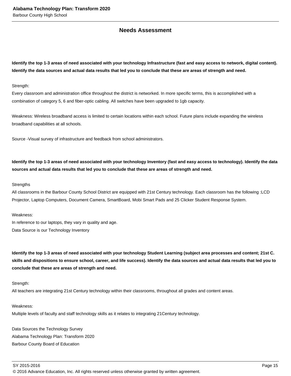### **Needs Assessment**

**Identify the top 1-3 areas of need associated with your technology Infrastructure (fast and easy access to network, digital content). Identify the data sources and actual data results that led you to conclude that these are areas of strength and need.** 

Strength:

Every classroom and administration office throughout the district is networked. In more specific terms, this is accomplished with a combination of category 5, 6 and fiber-optic cabling. All switches have been upgraded to 1gb capacity.

Weakness: Wireless broadband access is limited to certain locations within each school. Future plans include expanding the wireless broadband capabilities at all schools.

Source -Visual survey of infrastructure and feedback from school administrators.

**Identify the top 1-3 areas of need associated with your technology Inventory (fast and easy access to technology). Identify the data sources and actual data results that led you to conclude that these are areas of strength and need.**

#### **Strengths**

All classrooms in the Barbour County School District are equipped with 21st Century technology. Each classroom has the following :LCD Projector, Laptop Computers, Document Camera, SmartBoard, Mobi Smart Pads and 25 Clicker Student Response System.

#### Weakness:

In reference to our laptops, they vary in quality and age. Data Source is our Technology Inventory

**Identify the top 1-3 areas of need associated with your technology Student Learning (subject area processes and content; 21st C. skills and dispositions to ensure school, career, and life success). Identify the data sources and actual data results that led you to conclude that these are areas of strength and need.**

#### Strength:

All teachers are integrating 21st Century technology within their classrooms, throughout all grades and content areas.

#### Weakness:

Multiple levels of faculty and staff technology skills as it relates to integrating 21Century technology.

Data Sources the Technology Survey Alabama Technology Plan: Transform 2020 Barbour County Board of Education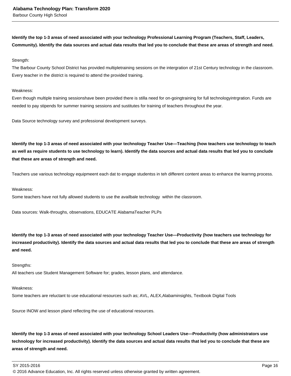**Identify the top 1-3 areas of need associated with your technology Professional Learning Program (Teachers, Staff, Leaders, Community). Identify the data sources and actual data results that led you to conclude that these are areas of strength and need.**

#### Strength:

The Barbour County School District has provided multipletraining sessions on the intergration of 21st Century technology in the classroom. Every teacher in the district is required to attend the provided training.

#### Weakness:

Even though multiple training sessionshave been provided there is stilla need for on-goingtraining for full technologyintrgration. Funds are needed to pay stipends for summer training sessions and sustitutes for training of teachers throughout the year.

Data Source technology survey and professional development surveys.

**Identify the top 1-3 areas of need associated with your technology Teacher Use—Teaching (how teachers use technology to teach as well as require students to use technology to learn). Identify the data sources and actual data results that led you to conclude that these are areas of strength and need.**

Teachers use various technology equipmeent each dat to engage studentss in teh different content areas to enhance the learnng process.

#### Weakness:

Some teachers have not fully allowed students to use the availbale technology within the classroom.

Data sources: Walk-throughs, observations, EDUCATE AlabamaTeacher PLPs

**Identify the top 1-3 areas of need associated with your technology Teacher Use—Productivity (how teachers use technology for increased productivity). Identify the data sources and actual data results that led you to conclude that these are areas of strength and need.**

#### Strengths:

All teachers use Student Management Software for; grades, lesson plans, and attendance.

#### Weakness:

Some teachers are reluctant to use educational resources such as; AVL, ALEX,Alabaminsights, Textbook Digital Tools

Source INOW and lesson pland reflecting the use of educational resources.

**Identify the top 1-3 areas of need associated with your technology School Leaders Use—Productivity (how administrators use technology for increased productivity). Identify the data sources and actual data results that led you to conclude that these are areas of strength and need.**

© 2016 Advance Education, Inc. All rights reserved unless otherwise granted by written agreement.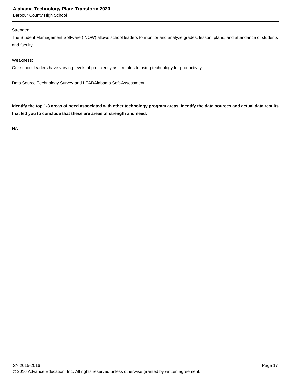Barbour County High School

#### Strength:

The Student Mamagement Software (INOW) allows school leaders to monitor and analyze grades, lesson, plans, and attendance of students and faculty;

#### Weakness:

Our school leaders have varying levels of proficiency as it relates to using technology for productivity.

Data Source Technology Survey and LEADAlabama Seft-Assessment

**Identify the top 1-3 areas of need associated with other technology program areas. Identify the data sources and actual data results that led you to conclude that these are areas of strength and need.**

NA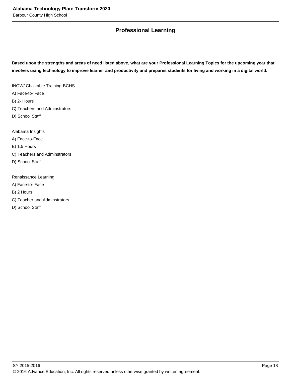## **Professional Learning**

**Based upon the strengths and areas of need listed above, what are your Professional Learning Topics for the upcoming year that involves using technology to improve learner and productivity and prepares students for living and working in a digital world.** 

INOW/ Chalkable Training-BCHS

A) Face-to- Face

B) 2- Hours

- C) Teachers and Adminstrators
- D) School Staff

Alabama Insights

A) Face-to-Face

B) 1.5 Hours

C) Teachers and Adminstrators

D) School Staff

Renaissance Learning

A) Face-to- Face

B) 2 Hours

C) Teacher and Adminstrators

D) School Staff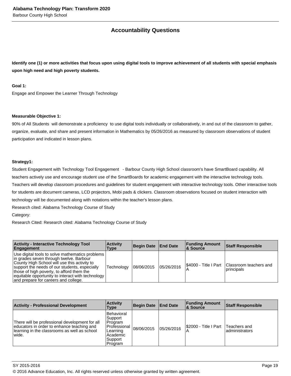## **Accountability Questions**

**Identify one (1) or more activities that focus upon using digital tools to improve achievement of all students with special emphasis upon high need and high poverty students.**

#### **Goal 1:**

Engage and Empower the Learner Through Technology

#### **Measurable Objective 1:**

90% of All Students will demonstrate a proficiency to use digital tools individually or collaboratively, in and out of the classroom to gather, organize, evaluate, and share and present information in Mathematics by 05/26/2016 as measured by classroom observations of student participation and indicated in lesson plans.

#### **Strategy1:**

Student Engagement with Technology Tool Engagement - Barbour County High School classroom's have SmartBoard capability. All teachers actively use and encourage student use of the SmartBoards for academic engagement with the interactive technology tools. Teachers will develop classroom procedures and guidelines for student engagement with interactive technology tools. Other interactive tools for students are document cameras, LCD projectors, Mobi pads & clickers. Classroom observations focused on student interaction with technology will be documented along with notations within the teacher's lesson plans.

Research cited: Alabama Technology Course of Study

Category:

Research Cited: Research cited: Alabama Technology Course of Study

| <b>Activity - Interactive Technology Tool</b><br>Engagement                                                                                                                                                                                                                                                                           | <b>Activity</b><br>Type | Begin Date   End Date |            | <b>Funding Amount</b><br>∣& Source | <b>Staff Responsible</b>                                       |
|---------------------------------------------------------------------------------------------------------------------------------------------------------------------------------------------------------------------------------------------------------------------------------------------------------------------------------------|-------------------------|-----------------------|------------|------------------------------------|----------------------------------------------------------------|
| Use digital tools to solve mathematics problems<br>in grades seven through twelve. Barbour<br>County High School will use this activity to<br>support the needs of our students, especially<br>those of high poverty, to afford them the<br>equitable opportunity to interact with technology<br>and prepare for careers and college. | Technology              | 108/06/2015           | 05/26/2016 |                                    | I\$4000 - Title I Part I Classroom teachers and<br> principals |

| <b>Activity - Professional Development</b>                                                                                                             | <b>Activity</b><br>Type                                                                            | <b>Begin Date</b> | <b>End Date</b> | <b>Funding Amount</b><br><b>&amp; Source</b> | <b>Staff Responsible</b>        |
|--------------------------------------------------------------------------------------------------------------------------------------------------------|----------------------------------------------------------------------------------------------------|-------------------|-----------------|----------------------------------------------|---------------------------------|
| There will be professional development for all<br>educators in order to enhance teaching and<br>learning in the classrooms as well as school<br>wiide. | Behavioral<br> Support<br>Program<br> Professional<br>Learning<br>Academic<br> Support <br>Program | 08/06/2015        | 05/26/2016      | S2000 - Title I Part                         | Teachers and<br>ladministrators |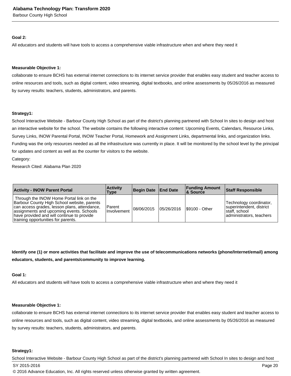Barbour County High School

#### **Goal 2:**

All educators and students will have tools to access a comprehensive viable infrastructure when and where they need it

#### **Measurable Objective 1:**

collaborate to ensure BCHS has external internet connections to its internet service provider that enables easy student and teacher access to online resources and tools, such as digital content, video streaming, digital textbooks, and online assessments by 05/26/2016 as measured by survey results: teachers, students, administrators, and parents.

#### **Strategy1:**

School Interactive Website - Barbour County High School as part of the district's planning partnered with School In sites to design and host an interactive website for the school. The website contains the following interactive content: Upcoming Events, Calendars, Resource Links, Survey Links, INOW Parental Portal, INOW Teacher Portal, Homework and Assignment Links, departmental links, and organization links. Funding was the only resources needed as all the infrastructure was currently in place. It will be monitored by the school level by the principal for updates and content as well as the counter for visitors to the website.

Category:

Research Cited: Alabama Plan 2020

| <b>Activity - INOW Parent Portal</b>                                                                                                                                                                                                                                     | <b>Activity</b><br>Type | Begin Date   End Date |            | <b>Funding Amount</b><br>∣& Source | Staff Responsible                                                                                 |
|--------------------------------------------------------------------------------------------------------------------------------------------------------------------------------------------------------------------------------------------------------------------------|-------------------------|-----------------------|------------|------------------------------------|---------------------------------------------------------------------------------------------------|
| Through the INOW Home Portal link on the<br>Barbour County High School website, parents<br>can access grades, lesson plans, attendance,<br>assignments and upcoming events. Schools<br>have provided and will continue to provide<br>training opportunities for parents. | Parent<br>Involvement   | 08/06/2015            | 05/26/2016 | <b>S9100 - Other</b>               | Technology coordinator,<br>superintendent, district<br>Istaff. school<br>administrators, teachers |

**Identify one (1) or more activities that facilitate and improve the use of telecommunications networks (phone/Internet/email) among educators, students, and parents/community to improve learning.**

#### **Goal 1:**

All educators and students will have tools to access a comprehensive viable infrastructure when and where they need it

#### **Measurable Objective 1:**

collaborate to ensure BCHS has external internet connections to its internet service provider that enables easy student and teacher access to online resources and tools, such as digital content, video streaming, digital textbooks, and online assessments by 05/26/2016 as measured by survey results: teachers, students, administrators, and parents.

#### **Strategy1:**

School Interactive Website - Barbour County High School as part of the district's planning partnered with School In sites to design and host SY 2015-2016 Page 20 © 2016 Advance Education, Inc. All rights reserved unless otherwise granted by written agreement.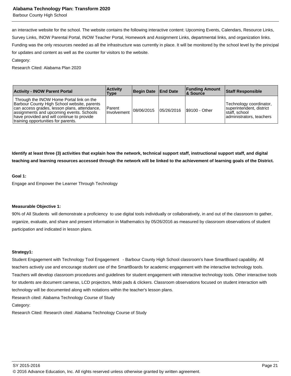Barbour County High School

an interactive website for the school. The website contains the following interactive content: Upcoming Events, Calendars, Resource Links, Survey Links, INOW Parental Portal, INOW Teacher Portal, Homework and Assignment Links, departmental links, and organization links. Funding was the only resources needed as all the infrastructure was currently in place. It will be monitored by the school level by the principal for updates and content as well as the counter for visitors to the website.

#### Category:

Research Cited: Alabama Plan 2020

| <b>Activity - INOW Parent Portal</b>                                                                                                                                                                                                                                     | <b>Activity</b><br>Type      | Begin Date End Date |             | <b>Funding Amount</b><br><b>&amp; Source</b> | <b>Staff Responsible</b>                                                                           |
|--------------------------------------------------------------------------------------------------------------------------------------------------------------------------------------------------------------------------------------------------------------------------|------------------------------|---------------------|-------------|----------------------------------------------|----------------------------------------------------------------------------------------------------|
| Through the INOW Home Portal link on the<br>Barbour County High School website, parents<br>can access grades, lesson plans, attendance,<br>assignments and upcoming events. Schools<br>have provided and will continue to provide<br>training opportunities for parents. | Parent<br><b>Involvement</b> | 08/06/2015          | 105/26/2016 | S9100 - Other                                | Technology coordinator,<br>superintendent, district<br>Istaff. school<br>ladministrators. teachers |

**Identify at least three (3) activities that explain how the network, technical support staff, instructional support staff, and digital teaching and learning resources accessed through the network will be linked to the achievement of learning goals of the District.**

#### **Goal 1:**

Engage and Empower the Learner Through Technology

#### **Measurable Objective 1:**

90% of All Students will demonstrate a proficiency to use digital tools individually or collaboratively, in and out of the classroom to gather, organize, evaluate, and share and present information in Mathematics by 05/26/2016 as measured by classroom observations of student participation and indicated in lesson plans.

#### **Strategy1:**

Student Engagement with Technology Tool Engagement - Barbour County High School classroom's have SmartBoard capability. All teachers actively use and encourage student use of the SmartBoards for academic engagement with the interactive technology tools. Teachers will develop classroom procedures and guidelines for student engagement with interactive technology tools. Other interactive tools for students are document cameras, LCD projectors, Mobi pads & clickers. Classroom observations focused on student interaction with technology will be documented along with notations within the teacher's lesson plans.

Research cited: Alabama Technology Course of Study

Category:

Research Cited: Research cited: Alabama Technology Course of Study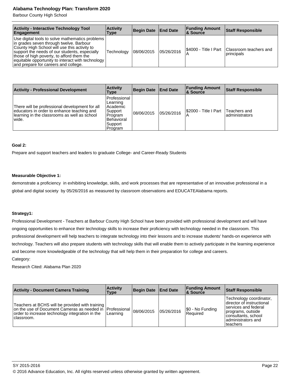Barbour County High School

| <b>Activity - Interactive Technology Tool</b><br>Engagement                                                                                                                                                                                                                                                                           | <b>Activity</b><br>Type | Begin Date End Date |             | <b>Funding Amount</b><br>8. Source | <b>Staff Responsible</b>              |
|---------------------------------------------------------------------------------------------------------------------------------------------------------------------------------------------------------------------------------------------------------------------------------------------------------------------------------------|-------------------------|---------------------|-------------|------------------------------------|---------------------------------------|
| Use digital tools to solve mathematics problems<br>in grades seven through twelve. Barbour<br>County High School will use this activity to<br>support the needs of our students, especially<br>those of high poverty, to afford them the<br>equitable opportunity to interact with technology<br>and prepare for careers and college. | Technology              | 08/06/2015          | 105/26/2016 | I\$4000 - Title I Part             | Classroom teachers and<br> principals |

| <b>Activity - Professional Development</b>                                                                                                            | <b>Activity</b><br>Type                                                                        | Begin Date End Date |            | <b>Funding Amount</b><br><b>&amp; Source</b> | <b>Staff Responsible</b>        |
|-------------------------------------------------------------------------------------------------------------------------------------------------------|------------------------------------------------------------------------------------------------|---------------------|------------|----------------------------------------------|---------------------------------|
| There will be professional development for all<br>educators in order to enhance teaching and<br>learning in the classrooms as well as school<br>wide. | Professional<br>Learning<br>Academic<br>Support<br>Program<br>Behavioral<br>Support<br>Program | 08/06/2015          | 05/26/2016 | \$2000 - Title I Part                        | Teachers and<br>ladministrators |

#### **Goal 2:**

Prepare and support teachers and leaders to graduate College- and Career-Ready Students

#### **Measurable Objective 1:**

demonstrate a proficiency in exhibiting knowledge, skills, and work processes that are representative of an innovative professional in a global and digital society by 05/26/2016 as measured by classroom observations and EDUCATEAlabama reports.

#### **Strategy1:**

Professional Development - Teachers at Barbour County High School have been provided with professional development and will have ongoing opportunities to enhance their technology skills to increase their proficiency with technology needed in the classroom. This professional development will help teachers to integrate technology into their lessons and to increase students' hands-on experience with technology. Teachers will also prepare students with technology skills that will enable them to actively participate in the learning experience and become more knowledgeable of the technology that will help them in their preparation for college and careers.

Category:

Research Cited: Alabama Plan 2020

| <b>Activity - Document Camera Training</b>                                                                                                                         | <b>Activity</b><br><b>Type</b>     | Begin Date   End Date |            | <b>Funding Amount</b><br>∣& Source | <b>Staff Responsible</b>                                                                                                                                    |
|--------------------------------------------------------------------------------------------------------------------------------------------------------------------|------------------------------------|-----------------------|------------|------------------------------------|-------------------------------------------------------------------------------------------------------------------------------------------------------------|
| Teachers at BCHS will be provided with training<br>on the use of Document Cameras as needed in  <br>order to increase technology integration in the<br>Iclassroom. | <b>IProfessional</b> I<br>Learning | 08/06/2015            | 05/26/2016 | \$0 - No Funding<br>Required       | Technology coordinator,<br>director of instructional<br>services and federal<br>programs, outside<br>consultants, school<br>administrators and<br>lteachers |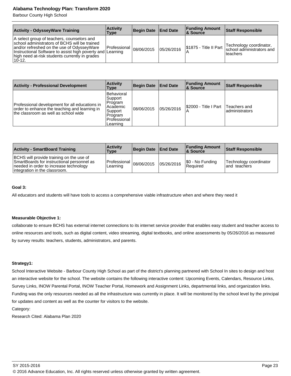Barbour County High School

| <b>Activity - OdysseyWare Training</b>                                                                                                                                                                                                                              | <b>Activity</b><br>Type             | Begin Date End Date |            | <b>Funding Amount</b><br>∣& Source | <b>Staff Responsible</b>                                           |
|---------------------------------------------------------------------------------------------------------------------------------------------------------------------------------------------------------------------------------------------------------------------|-------------------------------------|---------------------|------------|------------------------------------|--------------------------------------------------------------------|
| A select group of teachers, counselors and<br>school administrators of BCHS will be trained<br>and/or refreshed on the use of OdysseyWare<br>Instructional Software to assist high poverty and Learning<br>high need at-risk students currently in grades<br>10-12. | $ Professional _{08/06/2015} ^{16}$ |                     | 05/26/2016 | S1875 - Title II Part              | Technology coordinator,<br>school administrators and<br>l teachers |

| <b>Activity - Professional Development</b>                                                                                              | <b>Activity</b><br>Type                                                                        | Begin Date End Date |            | <b>Funding Amount</b><br><b>&amp; Source</b> | <b>Staff Responsible</b>        |
|-----------------------------------------------------------------------------------------------------------------------------------------|------------------------------------------------------------------------------------------------|---------------------|------------|----------------------------------------------|---------------------------------|
| Professional development for all educations in<br>order to enhance the teaching and learning in<br>the classroom as well as school wide | Behavioral<br>Support<br>Program<br>Academic<br>Support<br>Program<br>Professional<br>Learning | 08/06/2015          | 05/26/2016 | S2000 - Title I Part<br>A                    | Teachers and<br>ladministrators |

| <b>Activity - SmartBoard Training</b>                                                                                                                             | <b>Activity</b><br>Type                 | Begin Date   End Date |            | <b>Funding Amount</b><br>∣& Source | <b>Staff Responsible</b>                |
|-------------------------------------------------------------------------------------------------------------------------------------------------------------------|-----------------------------------------|-----------------------|------------|------------------------------------|-----------------------------------------|
| BCHS will provide training on the use of<br>SmartBoards for instructional personnel as<br>needed in order to increase technology<br>integration in the classroom. | Professional $ 08/06/2015 $<br>Learning |                       | 05/26/2016 | \$0 - No Funding<br>Required       | Technology coordinator<br>land teachers |

#### **Goal 3:**

All educators and students will have tools to access a comprehensive viable infrastructure when and where they need it

#### **Measurable Objective 1:**

collaborate to ensure BCHS has external internet connections to its internet service provider that enables easy student and teacher access to online resources and tools, such as digital content, video streaming, digital textbooks, and online assessments by 05/26/2016 as measured by survey results: teachers, students, administrators, and parents.

#### **Strategy1:**

School Interactive Website - Barbour County High School as part of the district's planning partnered with School In sites to design and host an interactive website for the school. The website contains the following interactive content: Upcoming Events, Calendars, Resource Links, Survey Links, INOW Parental Portal, INOW Teacher Portal, Homework and Assignment Links, departmental links, and organization links. Funding was the only resources needed as all the infrastructure was currently in place. It will be monitored by the school level by the principal for updates and content as well as the counter for visitors to the website.

Category:

Research Cited: Alabama Plan 2020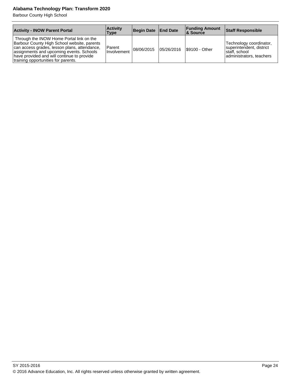Barbour County High School

| <b>Activity - INOW Parent Portal</b>                                                                                                                                                                                                                                     | <b>Activity</b><br><b>Type</b> | Begin Date   End Date |             | <b>Funding Amount</b><br>∣& Source | <b>Staff Responsible</b>                                                                          |
|--------------------------------------------------------------------------------------------------------------------------------------------------------------------------------------------------------------------------------------------------------------------------|--------------------------------|-----------------------|-------------|------------------------------------|---------------------------------------------------------------------------------------------------|
| Through the INOW Home Portal link on the<br>Barbour County High School website, parents<br>can access grades, lesson plans, attendance,<br>assignments and upcoming events. Schools<br>have provided and will continue to provide<br>training opportunities for parents. | Parent<br>Involvement          | 08/06/2015            | 105/26/2016 | S9100 - Other                      | Technology coordinator,<br>superintendent, district<br>Istaff. school<br>administrators, teachers |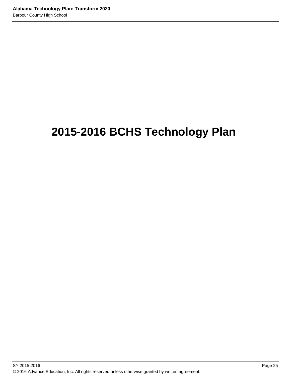# **2015-2016 BCHS Technology Plan**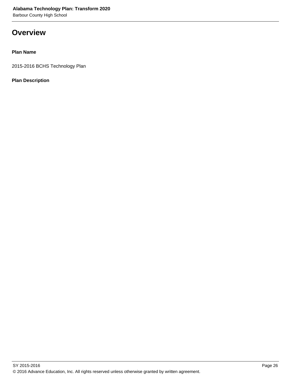**Overview**

## **Plan Name**

2015-2016 BCHS Technology Plan

**Plan Description**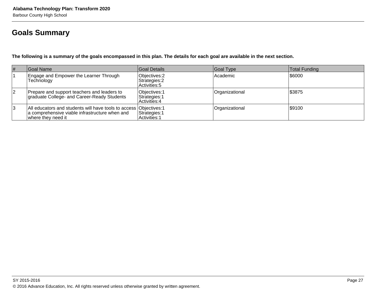## **Goals Summary**

**The following is a summary of the goals encompassed in this plan. The details for each goal are available in the next section.**

| # | Goal Name                                                                                                                                  | Goal Details                                    | Goal Type      | Total Funding |
|---|--------------------------------------------------------------------------------------------------------------------------------------------|-------------------------------------------------|----------------|---------------|
|   | Engage and Empower the Learner Through<br>Technology                                                                                       | Objectives: 2<br>Strategies: 2<br>Activities: 5 | l Academic     | 1\$6000       |
| 2 | Prepare and support teachers and leaders to<br>graduate College- and Career-Ready Students                                                 | Objectives: 1<br>Strategies: 1<br>Activities: 4 | Organizational | \$3875        |
| 3 | All educators and students will have tools to access Objectives: 1<br>a comprehensive viable infrastructure when and<br>where they need it | Strategies: 1<br>Activities: 1                  | Organizational | \$9100        |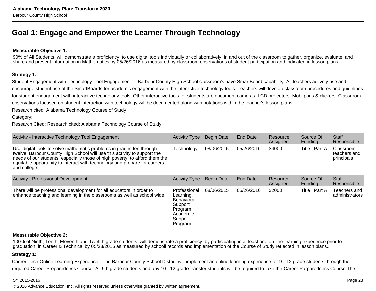## **Goal 1: Engage and Empower the Learner Through Technology**

#### **Measurable Objective 1:**

90% of All Students will demonstrate a proficiency to use digital tools individually or collaboratively, in and out of the classroom to gather, organize, evaluate, and share and present information in Mathematics by 05/26/2016 as measured by classroom observations of student participation and indicated in lesson plans.

#### **Strategy 1:**

Student Engagement with Technology Tool Engagement - Barbour County High School classroom's have SmartBoard capability. All teachers actively use andencourage student use of the SmartBoards for academic engagement with the interactive technology tools. Teachers will develop classroom procedures and guidelinesfor student engagement with interactive technology tools. Other interactive tools for students are document cameras, LCD projectors, Mobi pads & clickers. Classroomobservations focused on student interaction with technology will be documented along with notations within the teacher's lesson plans.

Research cited: Alabama Technology Course of Study

#### Category:

Research Cited: Research cited: Alabama Technology Course of Study

| Activity - Interactive Technology Tool Engagement                                                                                                                                                                                                                                                                            | Activity Type Begin Date |             | <b>End Date</b> | <b>Resource</b><br>Assigned | Source Of<br> Funding | <b>Staff</b><br>Responsible                     |
|------------------------------------------------------------------------------------------------------------------------------------------------------------------------------------------------------------------------------------------------------------------------------------------------------------------------------|--------------------------|-------------|-----------------|-----------------------------|-----------------------|-------------------------------------------------|
| Use digital tools to solve mathematic problems in grades ten through<br>twelve. Barbour County High School will use this activity to support the<br>needs of our students, especially those of high poverty, to afford them the<br>equitable opportunity to interact with technology and prepare for careers<br>and college. | Technology               | 108/06/2015 | 05/26/2016      | \$4000                      | Title I Part A        | <b>Classroom</b><br>Iteachers and<br>principals |

| <b>Activity - Professional Development</b>                                                                                                      | Activity Type                                                                                                     | Begin Date | <b>End Date</b> | Resource<br>Assigned | Source Of<br> Funding | Staff<br>Responsible           |
|-------------------------------------------------------------------------------------------------------------------------------------------------|-------------------------------------------------------------------------------------------------------------------|------------|-----------------|----------------------|-----------------------|--------------------------------|
| There will be professional development for all educators in order to<br>enhance teaching and learning in the classrooms as well as school wide. | <b>IProfessional</b><br> Learning,<br><b>IBehavioral</b><br>Support<br>Program,<br>Academic<br>Support<br>Program | 08/06/2015 | 05/26/2016      | \$2000               | Title I Part A        | Teachers and<br>administrators |

#### **Measurable Objective 2:**

100% of Ninth, Tenth, Eleventh and Twelfth grade students will demonstrate a proficiency by participating in at least one on-line learning experience prior tograduation in Career & Technical by 05/23/2016 as measured by schooll records and implementation of the Course of Study reflected in lesson plans..

#### **Strategy 1:**

Career Tech Online Learning Experience - The Barbour County School District will implement an online learning experience for 9 - 12 grade students through therequired Career Preparedness Course. All 9th grade students and any 10 - 12 grade transfer students will be required to take the Career Parparedness Course.The

#### SY 2015-2016

© 2016 Advance Education, Inc. All rights reserved unless otherwise granted by written agreement.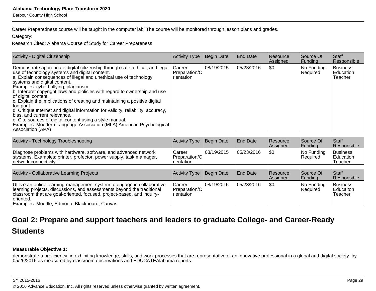Barbour County High School

Career Preparedness course will be taught in the computer lab. The course will be monitored through lesson plans and grades.

Category:

Research Cited: Alabama Course of Study for Career Prepareness

| Activity - Digital Citizenship                                                                                                                                                                                                                                                                                                                                                                                                                                                                                                                                                                                                                                                                                                                             | Activity Type                                         | Begin Date | <b>End Date</b> | <b>Resource</b><br>Assigned | Source Of<br>Funding   | Staff<br>Responsible                    |
|------------------------------------------------------------------------------------------------------------------------------------------------------------------------------------------------------------------------------------------------------------------------------------------------------------------------------------------------------------------------------------------------------------------------------------------------------------------------------------------------------------------------------------------------------------------------------------------------------------------------------------------------------------------------------------------------------------------------------------------------------------|-------------------------------------------------------|------------|-----------------|-----------------------------|------------------------|-----------------------------------------|
| Demonstrate appropriate digital citizenship through safe, ethical, and legal<br>use of technology systems and digital content.<br>a. Explain consequences of illegal and unethical use of technology<br>systems and digital content.<br>Examples: cyberbullying, plagiarism<br>b. Interpret copyright laws and plolicies with regard to ownership and use<br>of digital content.<br>c. Explain the implications of creating and maintaining a positive digital<br>Ifootprint.<br>d. Critique Internet and digital information for validity, reliability, accuracy,<br>bias, and current relevance.<br>e. Cite sources of digital content using a style manual.<br>Examples: Moedern Language Association (MLA) American Psychological<br>Association (APA) | <b>Career</b><br>Preparation/O<br><b>I</b> rientation | 08/19/2015 | 05/23/2016      | ISO                         | No Funding<br>Required | <b>Business</b><br>Education<br>Teacher |
|                                                                                                                                                                                                                                                                                                                                                                                                                                                                                                                                                                                                                                                                                                                                                            |                                                       |            |                 |                             |                        |                                         |

| Activity - Technology Troubleshooting                                                                                                                          | Activity Type Begin Date                   |            | <b>IEnd Date</b> | <b>Resource</b><br><b>Assigned</b> | Source Of<br> Fundina   | <b>Staff</b><br><b>Responsible</b> |
|----------------------------------------------------------------------------------------------------------------------------------------------------------------|--------------------------------------------|------------|------------------|------------------------------------|-------------------------|------------------------------------|
| Diagnose problems with hardware, software, and advanced network<br>stystems. Examples: printer, profector, power supply, task mamager,<br>network connectivity | Career<br>l Preparation/O l<br>Irientation | 08/19/2015 | 05/23/2016       | I\$0                               | INo Fundina<br>Required | Business<br>Education<br>Teacher   |

| Activity - Collaborative Learning Projects                                                                                                                                                                                                                                               | Activity Type                                           | Begin Date  | <b>End Date</b> | <b>Resource</b><br>Assigned | Source Of<br>Funding    | Staff<br>Responsible                    |
|------------------------------------------------------------------------------------------------------------------------------------------------------------------------------------------------------------------------------------------------------------------------------------------|---------------------------------------------------------|-------------|-----------------|-----------------------------|-------------------------|-----------------------------------------|
| Utilize an online learning-management system to engage in collaborative<br>learning projects, discussions, and assessments beyond the traditional<br>classroom that are goal-oriented, focused, project-based, and inquiry-<br>oriented.<br>Examples: Moodle, Edmodo, Blackboard, Canvas | Career<br><b>IPreparation/OI</b><br><b>I</b> rientation | 108/19/2015 | 05/23/2016      | 1\$0                        | No Funding<br> Reauired | Business<br><b>Educaiton</b><br>Teacher |

## **Goal 2: Prepare and support teachers and leaders to graduate College- and Career-ReadyStudents**

### **Measurable Objective 1:**

demonstrate a proficiency in exhibiting knowledge, skills, and work processes that are representative of an innovative professional in a global and digital society by<br>05/26/2016 as measured by classroom observations and E

© 2016 Advance Education, Inc. All rights reserved unless otherwise granted by written agreement.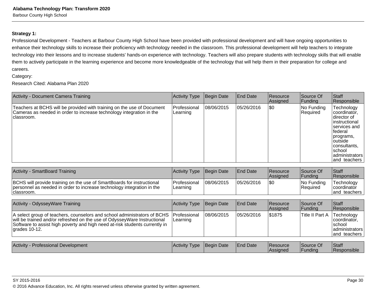### **Strategy 1:**

Professional Development - Teachers at Barbour County High School have been provided with professional development and will have ongoing opportunities to enhance their technology skills to increase their proficiency with technology needed in the classroom. This professional development will help teachers to integrate technology into their lessons and to increase students' hands-on experience with technology. Teachers will also prepare students with technology skills that will enablethem to actively participate in the learning experience and become more knowledgeable of the technology that will help them in their preparation for college andcareers.

#### Category:

Research Cited: Alabama Plan 2020

| Activity - Document Camera Training                                                                                                                           | <b>Activity Type</b>                       | Begin Date | End Date        | Resource<br>Assigned | Source Of<br> Funding  | Staff<br>Responsible                                                                                                                                                                             |
|---------------------------------------------------------------------------------------------------------------------------------------------------------------|--------------------------------------------|------------|-----------------|----------------------|------------------------|--------------------------------------------------------------------------------------------------------------------------------------------------------------------------------------------------|
| Teachers at BCHS will be provided with training on the use of Document<br>Cameras as needed in order to increase technology integration in the<br>∣classroom. | l Professional<br>Learning                 | 08/06/2015 | 105/26/2016     | <b>SO</b>            | No Funding<br>Required | <b>Technology</b><br> coordinator,<br>Idirector of<br>Iinstructional<br>Iservices and<br>lfederal<br>programs,<br><i>o</i> utside<br> consultants,<br>Ischool<br>ladministrators<br>and teachers |
| $\Lambda$ ethnics $\Omega$ as entropy and $\Gamma$ as in in a                                                                                                 | المفحا والمتمرد المسارى والمترافية المتحرق |            | $10x + 20x + 4$ | 10.22222             | $\overline{\Omega}$    | 0.1                                                                                                                                                                                              |

| Activity - SmartBoard Training                                                                                                                                  | Activity Type Begin Date  |            | <b>I</b> End Date | Resource<br><b>Assigned</b> | Source Of<br> Fundina            | <b>Staff</b><br><b>Responsible</b>                  |
|-----------------------------------------------------------------------------------------------------------------------------------------------------------------|---------------------------|------------|-------------------|-----------------------------|----------------------------------|-----------------------------------------------------|
| BCHS will provide training on the use of SmartBoards for instructional<br>personnel as needed in order to increase technology integration in the<br>Iclassroom. | IProfessional<br>Learning | 08/06/2015 | 05/26/2016        |                             | $ No$ Funding<br><b>Required</b> | Technology<br><b>coordinator</b><br>land teachers I |

| Activity - OdysseyWare Training                                                                                                                                                                                                                                             | Activity Type | Begin Date  | <b>End Date</b>  | Resource<br>Assigned | Source Of<br> Funding        | <b>Staff</b><br>Responsible                                                      |
|-----------------------------------------------------------------------------------------------------------------------------------------------------------------------------------------------------------------------------------------------------------------------------|---------------|-------------|------------------|----------------------|------------------------------|----------------------------------------------------------------------------------|
| A select group of teachers, counselors and school administrators of BCHS   Professional<br>will be trained and/or refreshed on the use of OdysseyWare Instructional<br>Software to assist high poverty and high need at-risk students currently in<br>$\vert$ grades 10-12. | Learning      | 108/06/2015 | 105/26/2016      | \$1875               | Title II Part A              | Technology<br>coordinator.<br><b>Ischool</b><br>  administrators<br>and teachers |
|                                                                                                                                                                                                                                                                             |               |             |                  |                      |                              |                                                                                  |
| Activity - Professional Development                                                                                                                                                                                                                                         | Activity Type | Begin Date  | <b>IEnd Date</b> | Resource<br>Assigned | Source Of<br><b>IFundina</b> | <b>Staff</b><br><b>Responsible</b>                                               |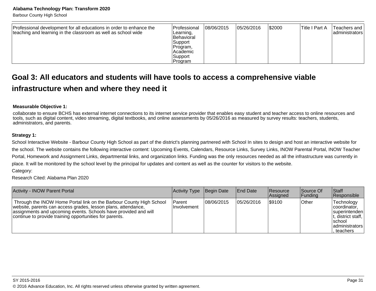Barbour County High School

| Professional development for all educations in order to enhance the<br>teaching and learning in the classroom as well as school wide | <b>Professional</b><br>Learning,<br>IBehavioral<br> Support<br>Program,<br><b>IAcademic</b><br> Support<br> Program | 08/06/2015 | 05/26/2016 | \$2000 | lTitle I Part A | Teachers and I<br>  administrators |
|--------------------------------------------------------------------------------------------------------------------------------------|---------------------------------------------------------------------------------------------------------------------|------------|------------|--------|-----------------|------------------------------------|
|--------------------------------------------------------------------------------------------------------------------------------------|---------------------------------------------------------------------------------------------------------------------|------------|------------|--------|-----------------|------------------------------------|

## **Goal 3: All educators and students will have tools to access a comprehensive viableinfrastructure when and where they need it**

#### **Measurable Objective 1:**

collaborate to ensure BCHS has external internet connections to its internet service provider that enables easy student and teacher access to online resources andtools, such as digital content, video streaming, digital textbooks, and online assessments by 05/26/2016 as measured by survey results: teachers, students,administrators, and parents.

#### **Strategy 1:**

School Interactive Website - Barbour County High School as part of the district's planning partnered with School In sites to design and host an interactive website forthe school. The website contains the following interactive content: Upcoming Events, Calendars, Resource Links, Survey Links, INOW Parental Portal, INOW TeacherPortal, Homework and Assignment Links, departmental links, and organization links. Funding was the only resources needed as all the infrastructure was currently inplace. It will be monitored by the school level by the principal for updates and content as well as the counter for visitors to the website.

Category:

Research Cited: Alabama Plan 2020

| <b>Activity - INOW Parent Portal</b>                                                                                                                                                                                                                               | Activity Type           | Begin Date  | <b>IEnd Date</b> | <b>Resource</b><br>Assigned | Source Of<br> Funding | <b>Staff</b><br>Responsible                                                                                        |
|--------------------------------------------------------------------------------------------------------------------------------------------------------------------------------------------------------------------------------------------------------------------|-------------------------|-------------|------------------|-----------------------------|-----------------------|--------------------------------------------------------------------------------------------------------------------|
| Through the INOW Home Portal link on the Barbour County High School<br>website, parents can access grades, lesson plans, attendance,<br>assignments and upcoming events. Schools have provided and will<br>continue to provide training opportunities for parents. | Parent<br>l Involvement | 108/06/2015 | 105/26/2016      | 1\$9100                     | Other                 | Technology<br>coordinator.<br>superintenden<br>$ t$ , district staff,<br>Ischool<br>  administrators<br>. teachers |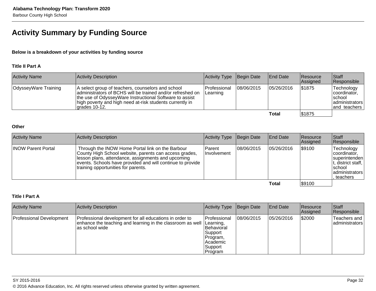## **Activity Summary by Funding Source**

### **Below is a breakdown of your activities by funding source**

### **Title II Part A**

| <b>Activity Name</b> | Activity Description                                                                                                                                                                                                                                     | Activity Type                           | Begin Date | End Date   | <b>Resource</b><br>Assigned | <b>Staff</b><br>Responsible                                              |
|----------------------|----------------------------------------------------------------------------------------------------------------------------------------------------------------------------------------------------------------------------------------------------------|-----------------------------------------|------------|------------|-----------------------------|--------------------------------------------------------------------------|
| OdysseyWare Training | A select group of teachers, counselors and school<br>administrators of BCHS will be trained and/or refreshed on<br>the use of OdysseyWare Instructional Software to assist<br>high poverty and high need at-risk students currently in<br>lgrades 10-12. | <b>IProfessional</b><br><b>Learning</b> | 08/06/2015 | 05/26/2016 | \$1875                      | Technology<br>coordinator,<br>∣school<br>ladministrators<br>and teachers |
|                      |                                                                                                                                                                                                                                                          |                                         |            | Total      | \$1875                      |                                                                          |

#### **Other**

| <b>Activity Name</b>      | Activity Description                                                                                                                                                                                                                                                  | Activity Type                  | Begin Date | <b>End Date</b> | Resource<br>Assigned | <b>Staff</b><br>Responsible                                                                                 |
|---------------------------|-----------------------------------------------------------------------------------------------------------------------------------------------------------------------------------------------------------------------------------------------------------------------|--------------------------------|------------|-----------------|----------------------|-------------------------------------------------------------------------------------------------------------|
| <b>INOW Parent Portal</b> | Through the INOW Home Portal link on the Barbour<br>County High School website, parents can access grades,<br>lesson plans, attendance, assignments and upcoming<br>events. Schools have provided and will continue to provide<br>training opportunities for parents. | l Parent<br><b>Involvement</b> | 08/06/2015 | 05/26/2016      | \$9100               | Technology<br>coordinator.<br>superintenden<br>, district staff,  <br>Ischool<br>administrators<br>teachers |
|                           |                                                                                                                                                                                                                                                                       |                                |            | Total           | \$9100               |                                                                                                             |

## **Title I Part A**

| <b>Activity Name</b>     | Activity Description                                                                                                                                 | Activity Type                                                                                | Begin Date | <b>End Date</b> | Resource<br><b>Assigned</b> | <b>Staff</b><br>Responsible       |
|--------------------------|------------------------------------------------------------------------------------------------------------------------------------------------------|----------------------------------------------------------------------------------------------|------------|-----------------|-----------------------------|-----------------------------------|
| Professional Development | Professional development for all educations in order to<br>enhance the teaching and learning in the classroom as well   Learning,<br>las school wide | Professional<br><b>Behavioral</b><br>Support<br>Program,<br>l Academic<br>Support<br>Program | 08/06/2015 | 05/26/2016      | \$2000                      | Teachers and<br>ladministrators l |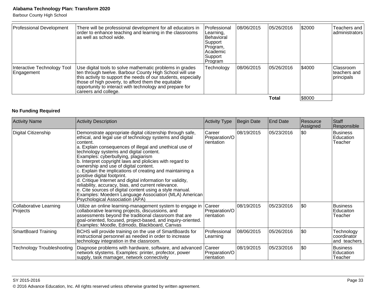Barbour County High School

| Professional Development                  | There will be professional development for all educators in<br>order to enhance teaching and learning in the classrooms<br>las well as school wide.                                                                                                                                                                              | Professional<br>Learning,<br><b>IBehavioral</b><br>Support<br>Program,<br>lAcademic<br>Support<br>Program | 08/06/2015 | 05/26/2016 | \$2000 | Teachers and I<br> administrators               |
|-------------------------------------------|----------------------------------------------------------------------------------------------------------------------------------------------------------------------------------------------------------------------------------------------------------------------------------------------------------------------------------|-----------------------------------------------------------------------------------------------------------|------------|------------|--------|-------------------------------------------------|
| Interactive Technology Tool<br>Engagement | Use digital tools to solve mathematic problems in grades<br>ten through twelve. Barbour County High School will use<br>this activity to support the needs of our students, especially<br>those of high poverty, to afford them the equitable<br>opportunity to interact with technology and prepare for<br> careers and college. | Technology                                                                                                | 08/06/2015 | 05/26/2016 | \$4000 | <b>Classroom</b><br>lteachers and<br>principals |
|                                           |                                                                                                                                                                                                                                                                                                                                  |                                                                                                           |            | Total      | \$8000 |                                                 |

## **No Funding Required**

| <b>Activity Name</b>               | <b>Activity Description</b>                                                                                                                                                                                                                                                                                                                                                                                                                                                                                                                                                                                                                                                                                                                                  | <b>Activity Type</b>                  | Begin Date | <b>End Date</b> | Resource<br>Assigned | Staff<br>Responsible                      |
|------------------------------------|--------------------------------------------------------------------------------------------------------------------------------------------------------------------------------------------------------------------------------------------------------------------------------------------------------------------------------------------------------------------------------------------------------------------------------------------------------------------------------------------------------------------------------------------------------------------------------------------------------------------------------------------------------------------------------------------------------------------------------------------------------------|---------------------------------------|------------|-----------------|----------------------|-------------------------------------------|
| Digital Citizenship                | Demonstrate appropriate digital citizenship through safe,<br>ethical, and legal use of technology systems and digital<br>content.<br>a. Explain consequences of illegal and unethical use of<br>technology systems and digital content.<br>Examples: cyberbullying, plagiarism<br>b. Interpret copyright laws and plolicies with regard to<br>ownership and use of digital content.<br>c. Explain the implications of creating and maintaining a<br>positive digital footprint.<br>d. Critique Internet and digital information for validity,<br>reliability, accuracy, bias, and current relevance.<br>e. Cite sources of digital content using a style manual.<br>Examples: Moedern Language Association (MLA) American<br>Psychological Association (APA) | Career<br>Preparation/O<br>rientation | 08/19/2015 | 05/23/2016      | \$0                  | <b>Business</b><br>Education<br>Teacher   |
| Collaborative Learning<br>Projects | Utilize an online learning-management system to engage in<br>collaborative learning projects, discussions, and<br>assessments beyond the traditional classroom that are<br>goal-oriented, focused, project-based, and inquiry-oriented.<br>Examples: Moodle, Edmodo, Blackboard, Canvas                                                                                                                                                                                                                                                                                                                                                                                                                                                                      | Career<br>Preparation/O<br>rientation | 08/19/2015 | 05/23/2016      | \$0                  | <b>Business</b><br>Educaiton<br>Teacher   |
| <b>SmartBoard Training</b>         | BCHS will provide training on the use of SmartBoards for<br>instructional personnel as needed in order to increase<br>technology integration in the classroom.                                                                                                                                                                                                                                                                                                                                                                                                                                                                                                                                                                                               | Professional<br>Learning              | 08/06/2015 | 05/26/2016      | \$0                  | Technology<br>coordinator<br>and teachers |
| <b>Technology Troubleshooting</b>  | Diagnose problems with hardware, software, and advanced<br>network stystems. Examples: printer, profector, power<br>supply, task mamager, network connectivity                                                                                                                                                                                                                                                                                                                                                                                                                                                                                                                                                                                               | Career<br>Preparation/O<br>rientation | 08/19/2015 | 05/23/2016      | \$0                  | <b>Business</b><br>Education<br>Teacher   |